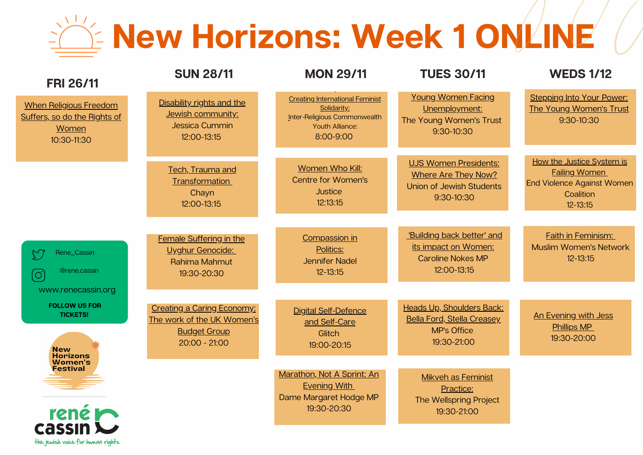## **New Horizons: Week 1 ONLINE**

| <b>FRI 26/11</b>                                                                                                                                | <b>SUN 28/11</b>                                                                                          | <b>MON 29/11</b>                                                                                                      | <b>TUES 30/11</b>                                                                                           | <b>WEDS 1/12</b>                                                                                             |
|-------------------------------------------------------------------------------------------------------------------------------------------------|-----------------------------------------------------------------------------------------------------------|-----------------------------------------------------------------------------------------------------------------------|-------------------------------------------------------------------------------------------------------------|--------------------------------------------------------------------------------------------------------------|
| <b>When Religious Freedom</b><br>Suffers, so do the Rights of<br>Women<br>10:30-11:30                                                           | Disability rights and the<br>Jewish community:<br>Jessica Cummin<br>12:00-13:15                           | <b>Creating International Feminist</b><br>Solidarity:<br>Inter-Religious Commonwealth<br>Youth Alliance:<br>8:00-9:00 | <b>Young Women Facing</b><br>Unemployment:<br>The Young Women's Trust<br>9:30-10:30                         | <b>Stepping Into Your Power:</b><br>The Young Women's Trust<br>9:30-10:30                                    |
|                                                                                                                                                 | Tech, Trauma and<br>Transformation<br>Chayn<br>12:00-13:15                                                | Women Who Kill:<br><b>Centre for Women's</b><br><b>Justice</b><br>12:13:15                                            | <b>UJS Women Presidents:</b><br><b>Where Are They Now?</b><br><b>Union of Jewish Students</b><br>9:30-10:30 | How the Justice System is<br><b>Failing Women</b><br>End Violence Against Women<br>Coalition<br>$12 - 13:15$ |
| Rene_Cassin<br>$\mathbb{C}^2$<br>@rene.cassin<br>$\left[ \bigcirc \right]$                                                                      | Female Suffering in the<br>Uyghur Genocide:<br>Rahima Mahmut<br>19:30-20:30                               | Compassion in<br>Politics:<br><b>Jennifer Nadel</b><br>$12 - 13:15$                                                   | 'Building back better' and<br>its impact on Women:<br><b>Caroline Nokes MP</b><br>12:00-13:15               | Faith in Feminism:<br><b>Muslim Women's Network</b><br>$12 - 13:15$                                          |
| www.renecassin.org<br><b>FOLLOW US FOR</b><br><b>TICKETS!</b><br><b>New</b><br><b>Horizons</b><br><b>Women's</b><br><b>Festival</b><br>rené los | <b>Creating a Caring Economy:</b><br>The work of the UK Women's<br><b>Budget Group</b><br>$20:00 - 21:00$ | <b>Digital Self-Defence</b><br>and Self-Care<br>Glitch<br>19:00-20:15                                                 | <b>Heads Up, Shoulders Back:</b><br><b>Bella Ford, Stella Creasey</b><br><b>MP's Office</b><br>19:30-21:00  | An Evening with Jess<br><b>Phillips MP</b><br>19:30-20:00                                                    |
|                                                                                                                                                 |                                                                                                           | Marathon, Not A Sprint: An<br><b>Evening With</b><br>Dame Margaret Hodge MP<br>19:30-20:30                            | <b>Mikveh as Feminist</b><br>Practice:<br><b>The Wellspring Project</b><br>19:30-21:00                      |                                                                                                              |

the jewish voice for human rights